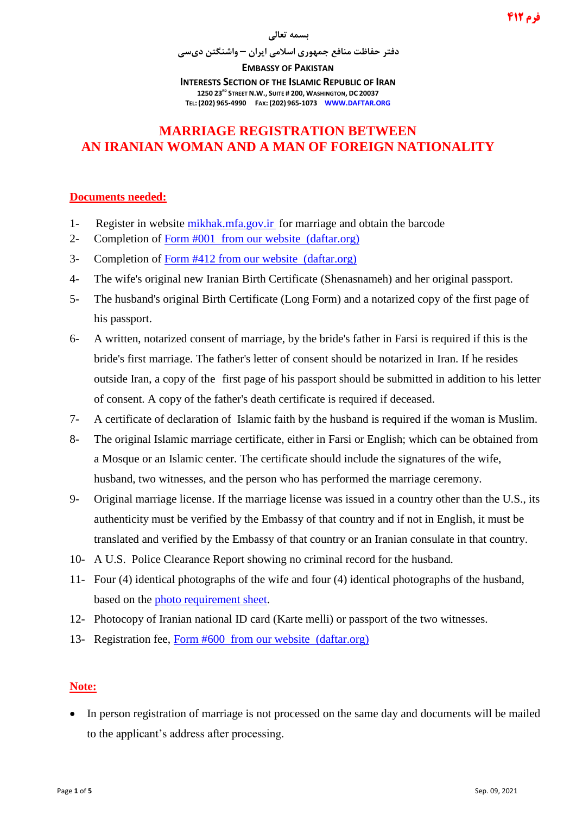## **فرم 412**

#### **بسمه تعالی**

**دفتر حفاظت منافع جمهوری اسالمی ایران – واشنگتن دیسی**

**EMBASSY OF PAKISTAN**

**INTERESTS SECTION OF THE ISLAMIC REPUBLIC OF IRAN 1250 23RD STREET N.W., SUITE # 200, WASHINGTON, DC 20037 TEL: (202) 965-4990 FAX: (202) 965-1073 WWW.DAFTAR.ORG**

## **MARRIAGE REGISTRATION BETWEEN AN IRANIAN WOMAN AND A MAN OF FOREIGN NATIONALITY**

### **Documents needed:**

- 1- Register in website [mikhak.mfa.gov.ir](https://mikhak.mfa.gov.ir/) for marriage and obtain the barcode
- 2- Completion of [Form #001](http://www.daftar.org/forms/passports/001.pdf) from our website [\(daftar.org\)](http://www.daftar.org/)
- 3- Completion of [Form #412](http://www.daftar.org/forms/vitalrecords/marriage/412.pdf) from our website [\(daftar.org\)](http://www.daftar.org/)
- 4- The wife's original new Iranian Birth Certificate (Shenasnameh) and her original passport.
- 5- The husband's original Birth Certificate (Long Form) and a notarized copy of the first page of his passport.
- 6- A written, notarized consent of marriage, by the bride's father in Farsi is required if this is the bride's first marriage. The father's letter of consent should be notarized in Iran. If he resides outside Iran, a copy of the first page of his passport should be submitted in addition to his letter of consent. A copy of the father's death certificate is required if deceased.
- 7- A certificate of declaration of Islamic faith by the husband is required if the woman is Muslim.
- 8- The original Islamic marriage certificate, either in Farsi or English; which can be obtained from a Mosque or an Islamic center. The certificate should include the signatures of the wife, husband, two witnesses, and the person who has performed the marriage ceremony.
- 9- Original marriage license. If the marriage license was issued in a country other than the U.S., its authenticity must be verified by the Embassy of that country and if not in English, it must be translated and verified by the Embassy of that country or an Iranian consulate in that country.
- 10- A U.S. Police Clearance Report showing no criminal record for the husband.
- 11- Four (4) identical photographs of the wife and four (4) identical photographs of the husband, based on the [photo requirement sheet.](http://www.daftar.org/forms/socialaffairs/photog.pdf)
- 12- Photocopy of Iranian national ID card (Karte melli) or passport of the two witnesses.
- 13- Registration fee, [Form #600](http://www.daftar.org/forms/fees/600.pdf) from our website [\(daftar.org\)](http://www.daftar.org/)

### **Note:**

• In person registration of marriage is not processed on the same day and documents will be mailed to the applicant's address after processing.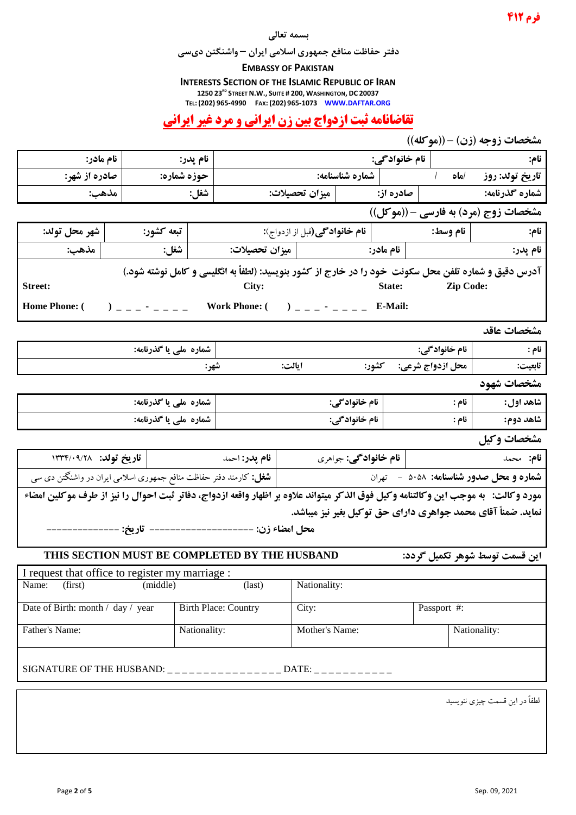#### **بسمه تعالی**

**دفتر حفاظت منافع جمهوری اسالمی ایران – واشنگتن دیسی**

#### **EMBASSY OF PAKISTAN**

**INTERESTS SECTION OF THE ISLAMIC REPUBLIC OF IRAN**

**1250 23RD STREET N.W., SUITE # 200, WASHINGTON, DC 20037**

**TEL: (202) 965-4990 FAX: (202) 965-1073 WWW.DAFTAR.ORG**

# **تقاضانامه ثبت ازدواج بين زن ايراني و مرد غير ايراني**

| مشخصات زوجه (زن) - ((موكله))                                                                                                      |          |                       |                                                       |                           |                      |         |                                                                                                            |                                                                                                       |  |
|-----------------------------------------------------------------------------------------------------------------------------------|----------|-----------------------|-------------------------------------------------------|---------------------------|----------------------|---------|------------------------------------------------------------------------------------------------------------|-------------------------------------------------------------------------------------------------------|--|
| نام مادر:                                                                                                                         |          | نام پدر:              |                                                       | نام خانوادگی:             |                      |         | <b>نام:</b> المستقل المستقل المستقل المستقل المستقل المستقل المستقل المستقل المستقل المستقل المستقل المستق |                                                                                                       |  |
| صادره از شهر:                                                                                                                     |          | حوزه شماره:           |                                                       |                           |                      |         |                                                                                                            |                                                                                                       |  |
| مذهب:                                                                                                                             |          | شغل:                  |                                                       |                           |                      |         |                                                                                                            |                                                                                                       |  |
|                                                                                                                                   |          |                       |                                                       |                           |                      |         |                                                                                                            | مشخصات زوج (مرد) به فارسی - ((موکل))                                                                  |  |
| شهر محل تولد:                                                                                                                     |          | تبعه کشور:            |                                                       |                           |                      |         |                                                                                                            |                                                                                                       |  |
| مذهب:                                                                                                                             |          | <b>شغل:</b> ﴿         |                                                       |                           |                      |         |                                                                                                            | نام پدر:                                                                                              |  |
|                                                                                                                                   |          |                       |                                                       |                           |                      |         |                                                                                                            | آدرس دقیق و شماره تلفن محل سکونت خود را در خارج از کشور بنویسید: (لطفاً به انگلیسی و کامل نوشته شود.) |  |
| <b>Street:</b>                                                                                                                    |          |                       | City:                                                 |                           |                      |         | State: Zip Code:                                                                                           |                                                                                                       |  |
| <b>Home Phone: (</b>                                                                                                              |          |                       | ) _ _ _ - _ _ _ Work Phone: ( ) _ _ _ - _ _ _ E-Mail: |                           |                      |         |                                                                                                            |                                                                                                       |  |
|                                                                                                                                   |          |                       |                                                       |                           |                      |         |                                                                                                            |                                                                                                       |  |
|                                                                                                                                   |          |                       |                                                       |                           |                      |         |                                                                                                            | مشخصات عاقد                                                                                           |  |
|                                                                                                                                   |          | شماره ملی یا گذرنامه: |                                                       |                           |                      |         | نام خانوادگی:                                                                                              | نام : مستقط المستقط                                                                                   |  |
|                                                                                                                                   |          | شهر:                  |                                                       | ايالت:                    |                      |         | محل ازدواج شرعي: ۔ کشور:                                                                                   | تابعيت:                                                                                               |  |
|                                                                                                                                   |          |                       |                                                       |                           |                      |         |                                                                                                            | مشخصات شهود                                                                                           |  |
| شماره ملی یا گذرنامه:                                                                                                             |          |                       | نام خانواد گی:                                        |                           |                      | ∣ نام : | شاهد اول:                                                                                                  |                                                                                                       |  |
| شماره ملی یا گذرنامه:                                                                                                             |          |                       |                                                       | نام خانواد گی:<br>∣ نام : |                      |         | شاهد دوم:                                                                                                  |                                                                                                       |  |
|                                                                                                                                   |          |                       |                                                       |                           |                      |         |                                                                                                            | مشخصات وكيل                                                                                           |  |
|                                                                                                                                   |          |                       |                                                       |                           | نام خانوادگی: جواهری |         |                                                                                                            | <b>نام:</b> محمد                                                                                      |  |
| <b>شماره و محل صدور شناسنامه: ۵۰</b> ۵۸ – تهران<br><b>شغل:</b> کارمند دفتر حفاظت منافع جمهوری اسلامی ایران در واشنگتن دی سی       |          |                       |                                                       |                           |                      |         |                                                                                                            |                                                                                                       |  |
| مورد وكالت: §به موجب اين وكالتنامه وكيل فوق الذكر ميتواند علاوه بر اظهار واقعه ازدواج، دفاتر ثبت احوال را نيز از طرف موكلين امضاء |          |                       |                                                       |                           |                      |         |                                                                                                            |                                                                                                       |  |
|                                                                                                                                   |          |                       |                                                       |                           |                      |         |                                                                                                            | نماید. ضمناً آقای محمد جواهری دارای حق توکیل بغیر نیز میباشد.                                         |  |
|                                                                                                                                   |          |                       | محل امضاء زن: --------------------- تاريخ: ---------  |                           |                      |         |                                                                                                            |                                                                                                       |  |
| THIS SECTION MUST BE COMPLETED BY THE HUSBAND<br>اين قسمت توسط شوهر تكميل گردد:                                                   |          |                       |                                                       |                           |                      |         |                                                                                                            |                                                                                                       |  |
| I request that office to register my marriage :                                                                                   |          |                       |                                                       |                           |                      |         |                                                                                                            |                                                                                                       |  |
| (first)<br>Name:                                                                                                                  | (middle) |                       | $\text{(last)}$                                       | Nationality:              |                      |         |                                                                                                            |                                                                                                       |  |
| Date of Birth: month / day / year                                                                                                 |          |                       | <b>Birth Place: Country</b>                           | City:                     |                      |         | Passport #:                                                                                                |                                                                                                       |  |
| Father's Name:                                                                                                                    |          | Nationality:          |                                                       | Mother's Name:            |                      |         |                                                                                                            | Nationality:                                                                                          |  |
|                                                                                                                                   |          |                       |                                                       |                           |                      |         |                                                                                                            |                                                                                                       |  |
| SIGNATURE OF THE HUSBAND: _ _ _ _ _ _ _ _ _ _ _ _ _ _ _ _ _ _ DATE: _ _ _ _ _ _ _ _ _ _                                           |          |                       |                                                       |                           |                      |         |                                                                                                            |                                                                                                       |  |
|                                                                                                                                   |          |                       |                                                       |                           |                      |         |                                                                                                            |                                                                                                       |  |

لطفاً در اين قسمت چیزی ننويسید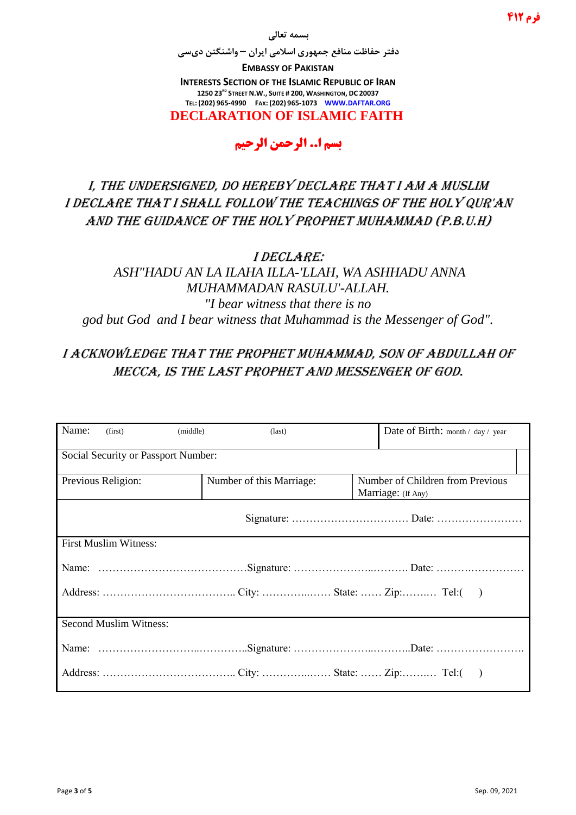**بسمه تعالی**

**دفتر حفاظت منافع جمهوری اسالمی ایران – واشنگتن دیسی**

**EMBASSY OF PAKISTAN INTERESTS SECTION OF THE ISLAMIC REPUBLIC OF IRAN 1250 23RD STREET N.W., SUITE # 200, WASHINGTON, DC 20037 TEL: (202) 965-4990 FAX: (202) 965-1073 WWW.DAFTAR.ORG**

**DECLARATION OF ISLAMIC FAITH**

# **بسم ا.. الرحمن الرحيم**

I, the undersigned, do hereby declare that I am a muslim I declare that I shall follow the teachings of the Holy Qur'an And the guidance of the Holy Prophet Muhammad (P.B.U.H)

I declare:

*ASH"HADU AN LA ILAHA ILLA-'LLAH, WA ASHHADU ANNA MUHAMMADAN RASULU'-ALLAH. "I bear witness that there is no god but God and I bear witness that Muhammad is the Messenger of God".*

## I acknowledge that the Prophet Muhammad, son of Abdullah of Mecca, is the last prophet and messenger of God.

| Name:                               | (first)                       | (middle) | $\text{(last)}$          |  | Date of Birth: month / day / year                      |  |  |
|-------------------------------------|-------------------------------|----------|--------------------------|--|--------------------------------------------------------|--|--|
| Social Security or Passport Number: |                               |          |                          |  |                                                        |  |  |
|                                     | Previous Religion:            |          | Number of this Marriage: |  | Number of Children from Previous<br>Marriage: (If Any) |  |  |
|                                     |                               |          |                          |  |                                                        |  |  |
| <b>First Muslim Witness:</b>        |                               |          |                          |  |                                                        |  |  |
|                                     |                               |          |                          |  |                                                        |  |  |
|                                     |                               |          |                          |  |                                                        |  |  |
|                                     | <b>Second Muslim Witness:</b> |          |                          |  |                                                        |  |  |
|                                     |                               |          |                          |  |                                                        |  |  |
|                                     |                               |          |                          |  |                                                        |  |  |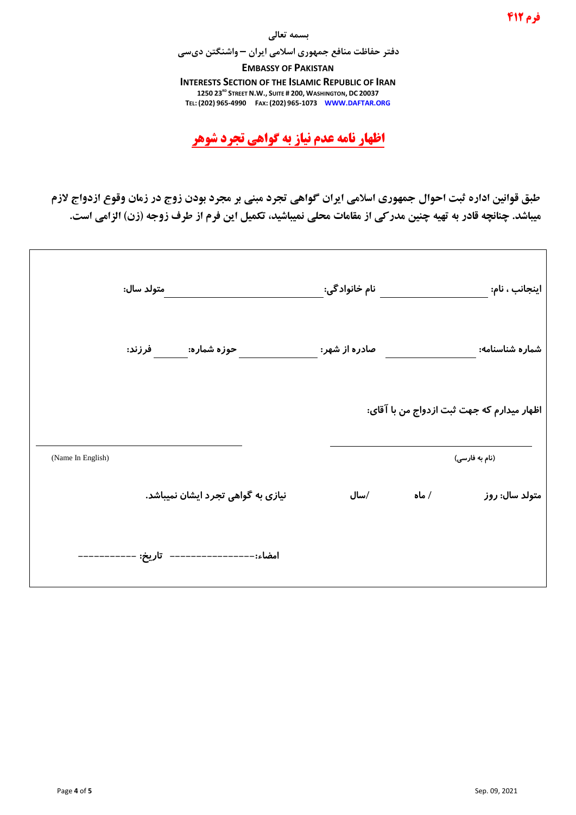#### **بسمه تعالی**

**دفتر حفاظت منافع جمهوری اسالمی ایران – واشنگتن دیسی**

**EMBASSY OF PAKISTAN INTERESTS SECTION OF THE ISLAMIC REPUBLIC OF IRAN 1250 23RD STREET N.W., SUITE # 200, WASHINGTON, DC 20037 TEL: (202) 965-4990 FAX: (202) 965-1073 WWW.DAFTAR.ORG**

**اظهار نامه عدم نياز به گواهي تجرد شوهر**

**طبق قوانین اداره ثبت احوال جمهوري اسالمي ايران گواهي تجرد مبني بر مجرد بودن زوج در زمان وقوع ازدواج الزم میباشد. چنانچه قادر به تهیه چنین مدرکي از مقامات محلي نمیباشید، تكمیل اين فرم از طرف زوجه )زن( الزامي است.**

| اینجانب ، نام:                             |       | نام خانواد گی: | متولد سال:                                 |                   |
|--------------------------------------------|-------|----------------|--------------------------------------------|-------------------|
| شماره شناسنامه:                            |       | صادره از شهر:  | حوزه شماره:                         فرزند: |                   |
| اظهار میدارم که جهت ثبت ازدواج من با آقای: |       |                |                                            |                   |
| (نام به فارسی)                             |       |                |                                            | (Name In English) |
| متولد سال: روز                             | / ماه | /سال           | نیازی به گواهی تجرد ایشان نمیباشد.         |                   |
|                                            |       |                |                                            |                   |